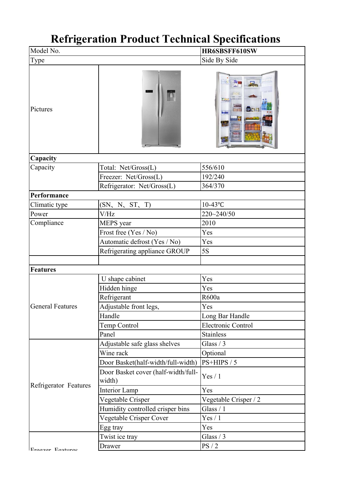## **Refrigeration Product Technical Specifications**

| Model No.               |                                     | HR6SBSFF610SW         |
|-------------------------|-------------------------------------|-----------------------|
| Type                    |                                     | Side By Side          |
| Pictures                |                                     | E<br>图表主              |
| Capacity                |                                     |                       |
| Capacity                | Total: Net/Gross(L)                 | 556/610               |
|                         | Freezer: Net/Gross(L)               | 192/240               |
|                         | Refrigerator: Net/Gross(L)          | 364/370               |
| Performance             |                                     |                       |
| Climatic type           | (SN, N, ST, T)                      | $10-43$ °C            |
| Power                   | V/Hz                                | 220~240/50            |
| Compliance              | MEPS year                           | 2010                  |
|                         | Frost free (Yes / No)               | Yes                   |
|                         | Automatic defrost (Yes / No)        | Yes                   |
|                         | Refrigerating appliance GROUP       | 5S                    |
|                         |                                     |                       |
| <b>Features</b>         |                                     |                       |
|                         | U shape cabinet                     | Yes                   |
|                         | Hidden hinge                        | Yes                   |
|                         | Refrigerant                         | R600a                 |
| <b>General Features</b> | Adjustable front legs,              | Yes                   |
|                         | Handle                              | Long Bar Handle       |
|                         | Temp Control                        | Electronic Control    |
|                         | Panel                               | <b>Stainless</b>      |
|                         | Adjustable safe glass shelves       | Glass $/3$            |
|                         | Wine rack                           | Optional              |
|                         | Door Basket(half-width/full-width)  | PS+HIPS / 5           |
|                         | Door Basket cover (half-width/full- | Yes / 1               |
| Refrigerator Features   | width)                              |                       |
|                         | Interior Lamp                       | Yes                   |
|                         | Vegetable Crisper                   | Vegetable Crisper / 2 |
|                         | Humidity controlled crisper bins    | Glass $/1$            |
|                         | Vegetable Crisper Cover             | Yes / 1               |
|                         | Egg tray                            | Yes                   |
|                         | Twist ice tray                      | Glass $/3$            |
| Ergazar Fasturac        | Drawer                              | PS/2                  |